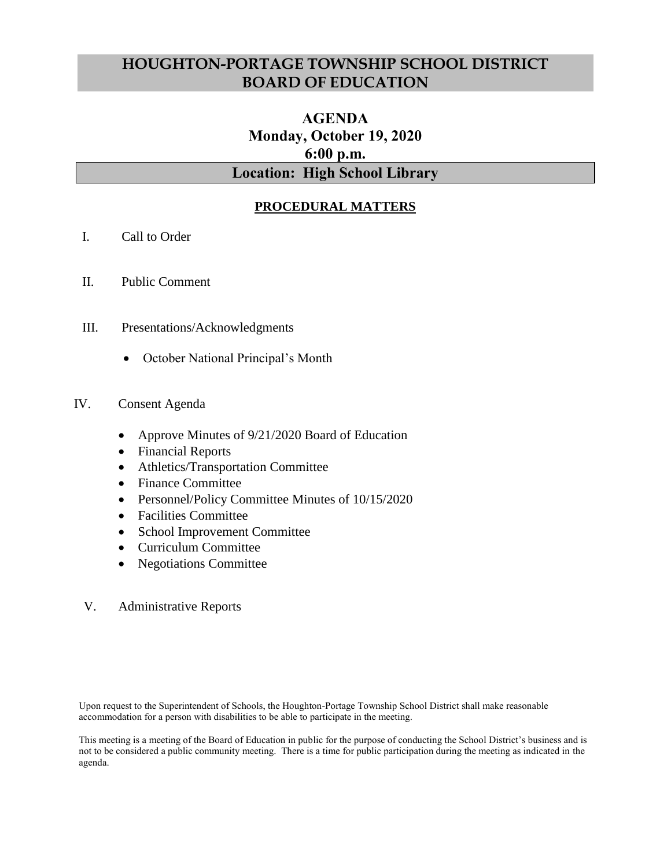# **HOUGHTON-PORTAGE TOWNSHIP SCHOOL DISTRICT BOARD OF EDUCATION**

# **AGENDA Monday, October 19, 2020 6:00 p.m. Location: High School Library**

## **PROCEDURAL MATTERS**

- I. Call to Order
- II. Public Comment
- III. Presentations/Acknowledgments
	- October National Principal's Month

### IV. Consent Agenda

- Approve Minutes of 9/21/2020 Board of Education
- Financial Reports
- Athletics/Transportation Committee
- Finance Committee
- Personnel/Policy Committee Minutes of 10/15/2020
- Facilities Committee
- School Improvement Committee
- Curriculum Committee
- Negotiations Committee
- V. Administrative Reports

Upon request to the Superintendent of Schools, the Houghton-Portage Township School District shall make reasonable accommodation for a person with disabilities to be able to participate in the meeting.

This meeting is a meeting of the Board of Education in public for the purpose of conducting the School District's business and is not to be considered a public community meeting. There is a time for public participation during the meeting as indicated in the agenda.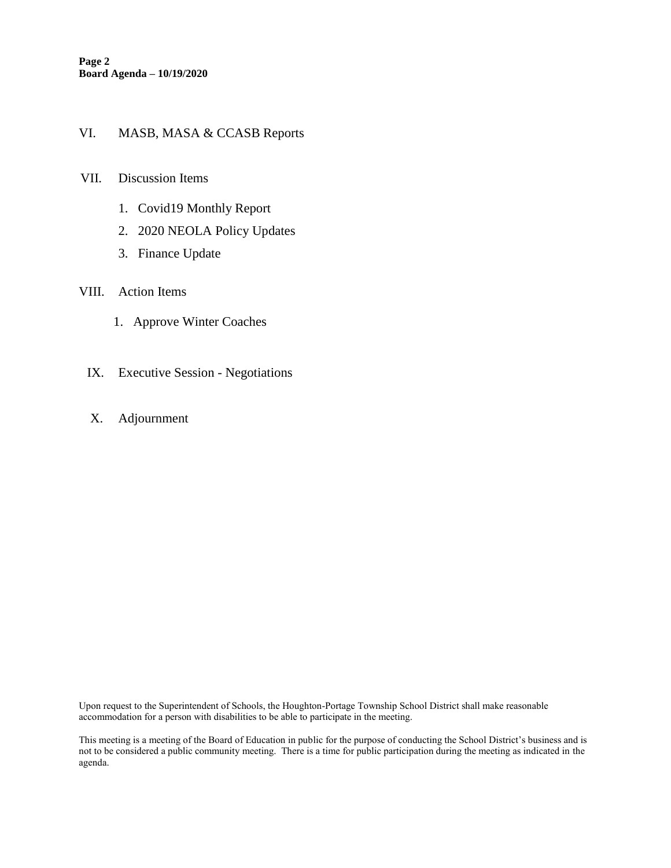#### VI. MASB, MASA & CCASB Reports

#### VII. Discussion Items

- 1. Covid19 Monthly Report
- 2. 2020 NEOLA Policy Updates
- 3. Finance Update

#### VIII. Action Items

- 1. Approve Winter Coaches
- IX. Executive Session Negotiations
- X. Adjournment

Upon request to the Superintendent of Schools, the Houghton-Portage Township School District shall make reasonable accommodation for a person with disabilities to be able to participate in the meeting.

This meeting is a meeting of the Board of Education in public for the purpose of conducting the School District's business and is not to be considered a public community meeting. There is a time for public participation during the meeting as indicated in the agenda.